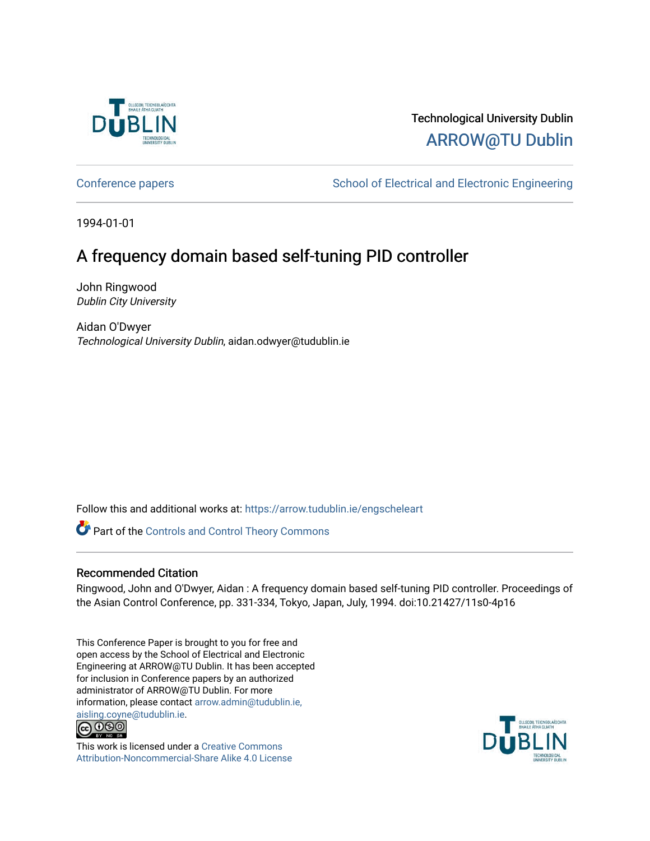

# Technological University Dublin [ARROW@TU Dublin](https://arrow.tudublin.ie/)

[Conference papers](https://arrow.tudublin.ie/engscheleart) **School of Electrical and Electronic Engineering** 

1994-01-01

# A frequency domain based self-tuning PID controller

John Ringwood Dublin City University

Aidan O'Dwyer Technological University Dublin, aidan.odwyer@tudublin.ie

Follow this and additional works at: [https://arrow.tudublin.ie/engscheleart](https://arrow.tudublin.ie/engscheleart?utm_source=arrow.tudublin.ie%2Fengscheleart%2F52&utm_medium=PDF&utm_campaign=PDFCoverPages) 

Part of the [Controls and Control Theory Commons](http://network.bepress.com/hgg/discipline/269?utm_source=arrow.tudublin.ie%2Fengscheleart%2F52&utm_medium=PDF&utm_campaign=PDFCoverPages) 

# Recommended Citation

Ringwood, John and O'Dwyer, Aidan : A frequency domain based self-tuning PID controller. Proceedings of the Asian Control Conference, pp. 331-334, Tokyo, Japan, July, 1994. doi:10.21427/11s0-4p16

This Conference Paper is brought to you for free and open access by the School of Electrical and Electronic Engineering at ARROW@TU Dublin. It has been accepted for inclusion in Conference papers by an authorized administrator of ARROW@TU Dublin. For more information, please contact [arrow.admin@tudublin.ie,](mailto:arrow.admin@tudublin.ie,%20aisling.coyne@tudublin.ie)  [aisling.coyne@tudublin.ie.](mailto:arrow.admin@tudublin.ie,%20aisling.coyne@tudublin.ie)<br>© 090



This work is licensed under a [Creative Commons](http://creativecommons.org/licenses/by-nc-sa/4.0/) [Attribution-Noncommercial-Share Alike 4.0 License](http://creativecommons.org/licenses/by-nc-sa/4.0/)

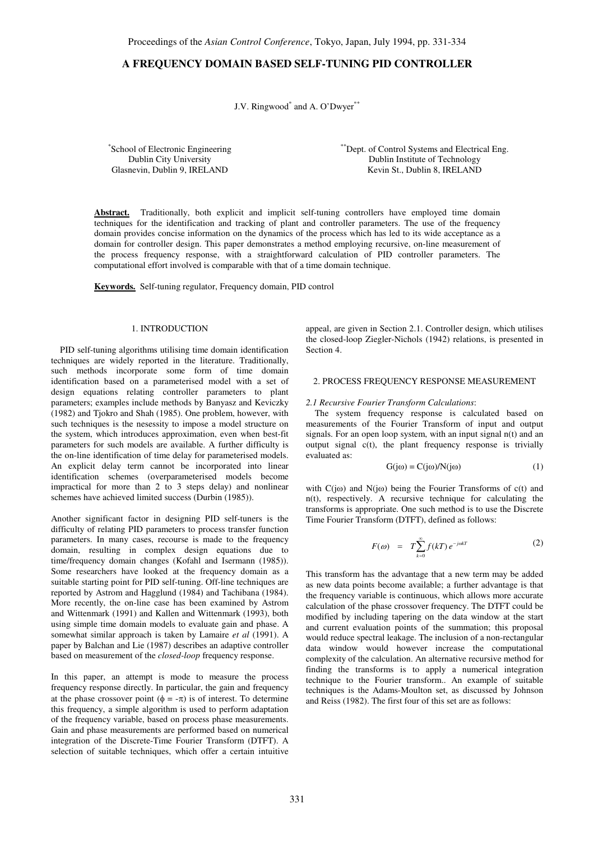# **A FREQUENCY DOMAIN BASED SELF-TUNING PID CONTROLLER**

J.V. Ringwood<sup>\*</sup> and A. O'Dwyer<sup>\*\*</sup>

\* School of Electronic Engineering Dublin City University Glasnevin, Dublin 9, IRELAND

\*\*Dept. of Control Systems and Electrical Eng. Dublin Institute of Technology Kevin St., Dublin 8, IRELAND

**Abstract.** Traditionally, both explicit and implicit self-tuning controllers have employed time domain techniques for the identification and tracking of plant and controller parameters. The use of the frequency domain provides concise information on the dynamics of the process which has led to its wide acceptance as a domain for controller design. This paper demonstrates a method employing recursive, on-line measurement of the process frequency response, with a straightforward calculation of PID controller parameters. The computational effort involved is comparable with that of a time domain technique.

**Keywords.** Self-tuning regulator, Frequency domain, PID control

## 1. INTRODUCTION

 PID self-tuning algorithms utilising time domain identification techniques are widely reported in the literature. Traditionally, such methods incorporate some form of time domain identification based on a parameterised model with a set of design equations relating controller parameters to plant parameters; examples include methods by Banyasz and Keviczky (1982) and Tjokro and Shah (1985). One problem, however, with such techniques is the nesessity to impose a model structure on the system, which introduces approximation, even when best-fit parameters for such models are available. A further difficulty is the on-line identification of time delay for parameterised models. An explicit delay term cannot be incorporated into linear identification schemes (overparameterised models become impractical for more than 2 to 3 steps delay) and nonlinear schemes have achieved limited success (Durbin (1985)).

Another significant factor in designing PID self-tuners is the difficulty of relating PID parameters to process transfer function parameters. In many cases, recourse is made to the frequency domain, resulting in complex design equations due to time/frequency domain changes (Kofahl and Isermann (1985)). Some researchers have looked at the frequency domain as a suitable starting point for PID self-tuning. Off-line techniques are reported by Astrom and Hagglund (1984) and Tachibana (1984). More recently, the on-line case has been examined by Astrom and Wittenmark (1991) and Kallen and Wittenmark (1993), both using simple time domain models to evaluate gain and phase. A somewhat similar approach is taken by Lamaire *et al* (1991). A paper by Balchan and Lie (1987) describes an adaptive controller based on measurement of the *closed-loop* frequency response.

In this paper, an attempt is mode to measure the process frequency response directly. In particular, the gain and frequency at the phase crossover point ( $\phi = -\pi$ ) is of interest. To determine this frequency, a simple algorithm is used to perform adaptation of the frequency variable, based on process phase measurements. Gain and phase measurements are performed based on numerical integration of the Discrete-Time Fourier Transform (DTFT). A selection of suitable techniques, which offer a certain intuitive

appeal, are given in Section 2.1. Controller design, which utilises the closed-loop Ziegler-Nichols (1942) relations, is presented in Section 4.

## 2. PROCESS FREQUENCY RESPONSE MEASUREMENT

#### *2.1 Recursive Fourier Transform Calculations*:

 The system frequency response is calculated based on measurements of the Fourier Transform of input and output signals. For an open loop system, with an input signal n(t) and an output signal c(t), the plant frequency response is trivially evaluated as:

$$
G(j\omega) = C(j\omega)/N(j\omega)
$$
 (1)

with  $C(i\omega)$  and  $N(i\omega)$  being the Fourier Transforms of  $c(t)$  and n(t), respectively. A recursive technique for calculating the transforms is appropriate. One such method is to use the Discrete Time Fourier Transform (DTFT), defined as follows:

$$
F(\omega) = T \sum_{k=0}^{\infty} f(kT) e^{-j\omega kT}
$$
 (2)

This transform has the advantage that a new term may be added as new data points become available; a further advantage is that the frequency variable is continuous, which allows more accurate calculation of the phase crossover frequency. The DTFT could be modified by including tapering on the data window at the start and current evaluation points of the summation; this proposal would reduce spectral leakage. The inclusion of a non-rectangular data window would however increase the computational complexity of the calculation. An alternative recursive method for finding the transforms is to apply a numerical integration technique to the Fourier transform.. An example of suitable techniques is the Adams-Moulton set, as discussed by Johnson and Reiss (1982). The first four of this set are as follows: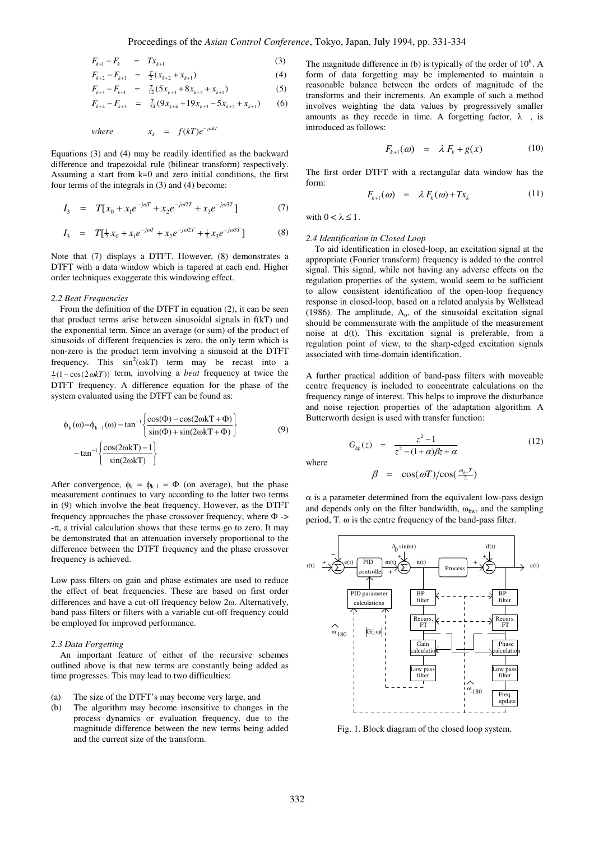$$
F_{k+1} - F_k = Tx_{k+1}
$$
 (3)

$$
F_{k+2} - F_{k+1} = \frac{T}{2}(x_{k+2} + x_{k+1})
$$
\n(4)

$$
F_{k+3} - F_{k+1} = \frac{T}{12} (5x_{k+3} + 8x_{k+2} + x_{k+1})
$$
 (5)

$$
F_{k+4} - F_{k+3} = \frac{T}{24}(9x_{k+4} + 19x_{k+3} - 5x_{k+2} + x_{k+1}) \tag{6}
$$

*where*  $x_k = f(kT)e^{-j\omega kT}$ *k*

Equations (3) and (4) may be readily identified as the backward difference and trapezoidal rule (bilinear transform) respectively. Assuming a start from k=0 and zero initial conditions, the first four terms of the integrals in (3) and (4) become:

$$
I_3 = T[x_0 + x_1 e^{-j\omega T} + x_2 e^{-j\omega 2T} + x_3 e^{-j\omega 3T}]
$$
 (7)

$$
I_3 = T[\frac{1}{2}x_0 + x_1e^{-j\omega T} + x_2e^{-j\omega 2T} + \frac{1}{2}x_3e^{-j\omega 3T}]
$$
 (8)

Note that (7) displays a DTFT. However, (8) demonstrates a DTFT with a data window which is tapered at each end. Higher order techniques exaggerate this windowing effect.

#### *2.2 Beat Frequencies*

 From the definition of the DTFT in equation (2), it can be seen that product terms arise between sinusoidal signals in f(kT) and the exponential term. Since an average (or sum) of the product of sinusoids of different frequencies is zero, the only term which is non-zero is the product term involving a sinusoid at the DTFT frequency. This  $sin^2(\omega kT)$  term may be recast into a 1 2 (1− cos(2ω*kT*)) term, involving a *beat* frequency at twice the DTFT frequency. A difference equation for the phase of the system evaluated using the DTFT can be found as:

$$
\phi_{k}(\omega) = \phi_{k-1}(\omega) - \tan^{-1} \left\{ \frac{\cos(\Phi) - \cos(2\omega kT + \Phi)}{\sin(\Phi) + \sin(2\omega kT + \Phi)} \right\}
$$
\n
$$
-\tan^{-1} \left\{ \frac{\cos(2\omega kT) - 1}{\sin(2\omega kT)} \right\}
$$
\n(9)

After convergence,  $\phi_k = \phi_{k-1} = \Phi$  (on average), but the phase measurement continues to vary according to the latter two terms in (9) which involve the beat frequency. However, as the DTFT frequency approaches the phase crossover frequency, where Φ -> -π, a trivial calculation shows that these terms go to zero. It may be demonstrated that an attenuation inversely proportional to the difference between the DTFT frequency and the phase crossover frequency is achieved.

Low pass filters on gain and phase estimates are used to reduce the effect of beat frequencies. These are based on first order differences and have a cut-off frequency below 2ω. Alternatively, band pass filters or filters with a variable cut-off frequency could be employed for improved performance.

#### *2.3 Data Forgetting*

 An important feature of either of the recursive schemes outlined above is that new terms are constantly being added as time progresses. This may lead to two difficulties:

## (a) The size of the DTFT's may become very large, and

(b) The algorithm may become insensitive to changes in the process dynamics or evaluation frequency, due to the magnitude difference between the new terms being added and the current size of the transform.

The magnitude difference in (b) is typically of the order of  $10^6$ . A form of data forgetting may be implemented to maintain a reasonable balance between the orders of magnitude of the transforms and their increments. An example of such a method involves weighting the data values by progressively smaller amounts as they recede in time. A forgetting factor,  $\lambda$  , is introduced as follows:

$$
F_{k+1}(\omega) = \lambda F_k + g(x) \tag{10}
$$

The first order DTFT with a rectangular data window has the form:

$$
F_{k+1}(\omega) = \lambda F_k(\omega) + Tx_k \tag{11}
$$

with  $0 < \lambda \leq 1$ .

#### *2.4 Identification in Closed Loop*

 To aid identification in closed-loop, an excitation signal at the appropriate (Fourier transform) frequency is added to the control signal. This signal, while not having any adverse effects on the regulation properties of the system, would seem to be sufficient to allow consistent identification of the open-loop frequency response in closed-loop, based on a related analysis by Wellstead (1986). The amplitude,  $A_0$ , of the sinusoidal excitation signal should be commensurate with the amplitude of the measurement noise at d(t). This excitation signal is preferable, from a regulation point of view, to the sharp-edged excitation signals associated with time-domain identification.

A further practical addition of band-pass filters with moveable centre frequency is included to concentrate calculations on the frequency range of interest. This helps to improve the disturbance and noise rejection properties of the adaptation algorithm. A Butterworth design is used with transfer function:

$$
G_{bp}(z) = \frac{z^2 - 1}{z^2 - (1 + \alpha)\beta z + \alpha}
$$
 (12)

where

$$
\beta = \cos(\omega T)/\cos(\frac{\omega_{bw}T}{2})
$$

 $\alpha$  is a parameter determined from the equivalent low-pass design and depends only on the filter bandwidth,  $\omega_{bw}$ , and the sampling period, T. ω is the centre frequency of the band-pass filter.



Fig. 1. Block diagram of the closed loop system.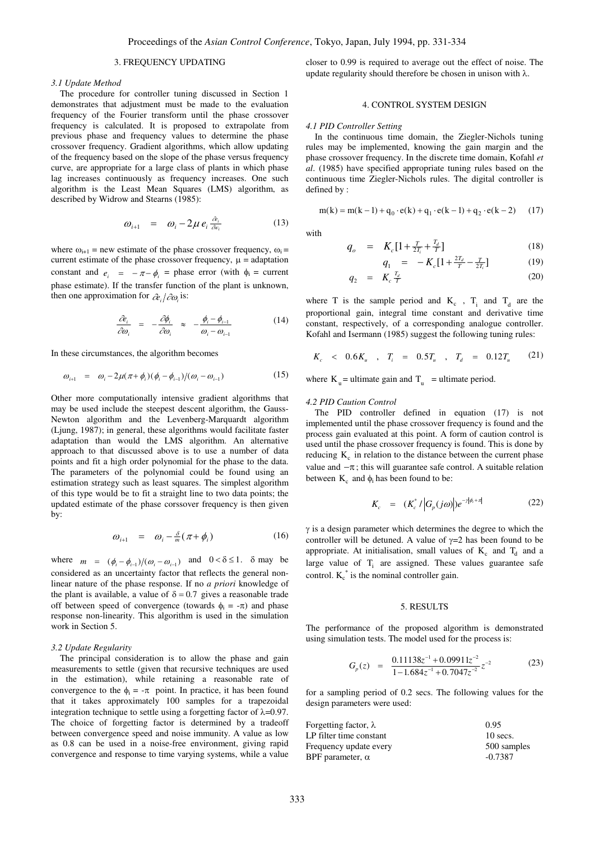## 3. FREQUENCY UPDATING

#### *3.1 Update Method*

 The procedure for controller tuning discussed in Section 1 demonstrates that adjustment must be made to the evaluation frequency of the Fourier transform until the phase crossover frequency is calculated. It is proposed to extrapolate from previous phase and frequency values to determine the phase crossover frequency. Gradient algorithms, which allow updating of the frequency based on the slope of the phase versus frequency curve, are appropriate for a large class of plants in which phase lag increases continuously as frequency increases. One such algorithm is the Least Mean Squares (LMS) algorithm, as described by Widrow and Stearns (1985):

$$
\omega_{i+1} = \omega_i - 2\mu \, e_i \, \frac{\partial e_i}{\partial v_i} \tag{13}
$$

where  $\omega_{i+1}$  = new estimate of the phase crossover frequency,  $\omega_i$  = current estimate of the phase crossover frequency,  $\mu$  = adaptation constant and  $e_i = -\pi - \phi_i$  = phase error (with  $\phi_i$  = current phase estimate). If the transfer function of the plant is unknown, then one approximation for  $\partial e_i / \partial \omega_i$  is:

$$
\frac{\partial e_i}{\partial \omega_i} = -\frac{\partial \phi_i}{\partial \omega_i} \approx -\frac{\phi_i - \phi_{i-1}}{\omega_i - \omega_{i-1}}
$$
(14)

In these circumstances, the algorithm becomes

$$
\omega_{i+1} = \omega_i - 2\mu(\pi + \phi_i)(\phi_i - \phi_{i-1})/(\omega_i - \omega_{i-1})
$$
\n(15)

Other more computationally intensive gradient algorithms that may be used include the steepest descent algorithm, the Gauss-Newton algorithm and the Levenberg-Marquardt algorithm (Ljung, 1987); in general, these algorithms would facilitate faster adaptation than would the LMS algorithm. An alternative approach to that discussed above is to use a number of data points and fit a high order polynomial for the phase to the data. The parameters of the polynomial could be found using an estimation strategy such as least squares. The simplest algorithm of this type would be to fit a straight line to two data points; the updated estimate of the phase corssover frequency is then given by:

$$
\omega_{i+1} = \omega_i - \frac{\delta}{m}(\pi + \phi_i) \tag{16}
$$

where  $m = (\phi_i - \phi_{i-1})/(\omega_i - \omega_{i-1})$  and  $0 < \delta \le 1$ .  $\delta$  may be considered as an uncertainty factor that reflects the general nonlinear nature of the phase response. If no *a priori* knowledge of the plant is available, a value of  $\delta = 0.7$  gives a reasonable trade off between speed of convergence (towards  $\phi_i = -\pi$ ) and phase response non-linearity. This algorithm is used in the simulation work in Section 5.

#### *3.2 Update Regularity*

 The principal consideration is to allow the phase and gain measurements to settle (given that recursive techniques are used in the estimation), while retaining a reasonable rate of convergence to the  $\phi_i = -\pi$  point. In practice, it has been found that it takes approximately 100 samples for a trapezoidal integration technique to settle using a forgetting factor of  $\lambda$ =0.97. The choice of forgetting factor is determined by a tradeoff between convergence speed and noise immunity. A value as low as 0.8 can be used in a noise-free environment, giving rapid convergence and response to time varying systems, while a value

closer to 0.99 is required to average out the effect of noise. The update regularity should therefore be chosen in unison with  $\lambda$ .

# 4. CONTROL SYSTEM DESIGN

#### *4.1 PID Controller Setting*

 In the continuous time domain, the Ziegler-Nichols tuning rules may be implemented, knowing the gain margin and the phase crossover frequency. In the discrete time domain, Kofahl *et al*. (1985) have specified appropriate tuning rules based on the continuous time Ziegler-Nichols rules. The digital controller is defined by :

$$
m(k) = m(k-1) + q_0 \cdot e(k) + q_1 \cdot e(k-1) + q_2 \cdot e(k-2)
$$
 (17)

with

$$
q_o = K_c[1 + \frac{T}{2T_i} + \frac{T_d}{T}] \tag{18}
$$

$$
q_1 = -K_c[1 + \frac{2T_d}{T} - \frac{T}{2T_i}] \tag{19}
$$

$$
q_2 = K_c \frac{T_d}{T} \tag{20}
$$

where T is the sample period and  $K_c$ ,  $T_i$  and  $T_d$  are the proportional gain, integral time constant and derivative time constant, respectively, of a corresponding analogue controller. Kofahl and Isermann (1985) suggest the following tuning rules:

$$
K_c
$$
 < 0.6 $K_u$ ,  $T_i$  = 0.5 $T_u$ ,  $T_d$  = 0.12 $T_u$  (21)

where  $K_u$  = ultimate gain and  $T_u$  = ultimate period.

#### *4.2 PID Caution Control*

 The PID controller defined in equation (17) is not implemented until the phase crossover frequency is found and the process gain evaluated at this point. A form of caution control is used until the phase crossover frequency is found. This is done by reducing  $K_c$  in relation to the distance between the current phase value and  $-\pi$ ; this will guarantee safe control. A suitable relation between  $K_c$  and  $\phi_i$  has been found to be:

$$
K_c = (K_c^*/|G_p(j\omega)|)e^{-\gamma|\phi_i + \pi|} \tag{22}
$$

 $\gamma$  is a design parameter which determines the degree to which the controller will be detuned. A value of  $\gamma=2$  has been found to be appropriate. At initialisation, small values of  $K_c$  and  $T_d$  and a large value of  $T<sub>i</sub>$  are assigned. These values guarantee safe control.  $K_c^*$  is the nominal controller gain.

#### 5. RESULTS

The performance of the proposed algorithm is demonstrated using simulation tests. The model used for the process is:

$$
G_p(z) = \frac{0.11138z^{-1} + 0.09911z^{-2}}{1 - 1.684z^{-1} + 0.7047z^{-2}}z^{-2}
$$
 (23)

for a sampling period of 0.2 secs. The following values for the design parameters were used:

| Forgetting factor, $\lambda$ | 0.95        |
|------------------------------|-------------|
| LP filter time constant      | $10$ secs.  |
| Frequency update every       | 500 samples |
| BPF parameter, $\alpha$      | $-0.7387$   |